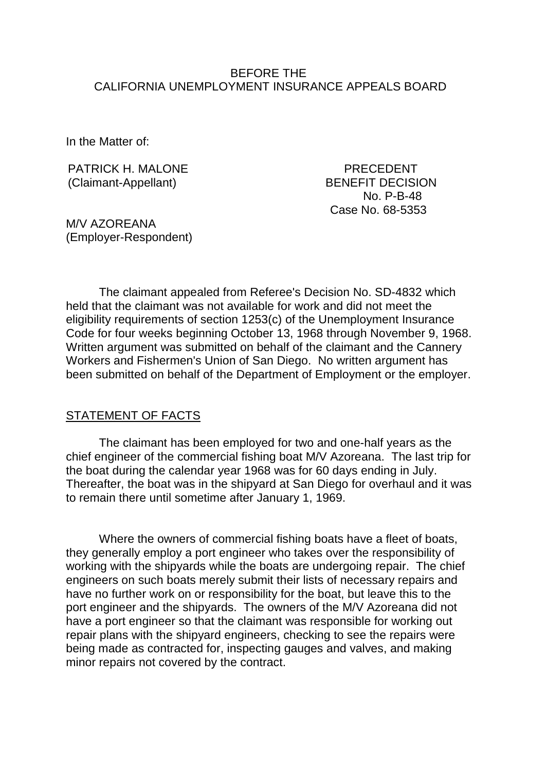### BEFORE THE CALIFORNIA UNEMPLOYMENT INSURANCE APPEALS BOARD

In the Matter of:

PATRICK H. MALONE PATRICK H. MALONE (Claimant-Appellant) BENEFIT DECISION

No. P-B-48 Case No. 68-5353

M/V AZOREANA (Employer-Respondent)

The claimant appealed from Referee's Decision No. SD-4832 which held that the claimant was not available for work and did not meet the eligibility requirements of section 1253(c) of the Unemployment Insurance Code for four weeks beginning October 13, 1968 through November 9, 1968. Written argument was submitted on behalf of the claimant and the Cannery Workers and Fishermen's Union of San Diego. No written argument has been submitted on behalf of the Department of Employment or the employer.

#### STATEMENT OF FACTS

The claimant has been employed for two and one-half years as the chief engineer of the commercial fishing boat M/V Azoreana. The last trip for the boat during the calendar year 1968 was for 60 days ending in July. Thereafter, the boat was in the shipyard at San Diego for overhaul and it was to remain there until sometime after January 1, 1969.

Where the owners of commercial fishing boats have a fleet of boats, they generally employ a port engineer who takes over the responsibility of working with the shipyards while the boats are undergoing repair. The chief engineers on such boats merely submit their lists of necessary repairs and have no further work on or responsibility for the boat, but leave this to the port engineer and the shipyards. The owners of the M/V Azoreana did not have a port engineer so that the claimant was responsible for working out repair plans with the shipyard engineers, checking to see the repairs were being made as contracted for, inspecting gauges and valves, and making minor repairs not covered by the contract.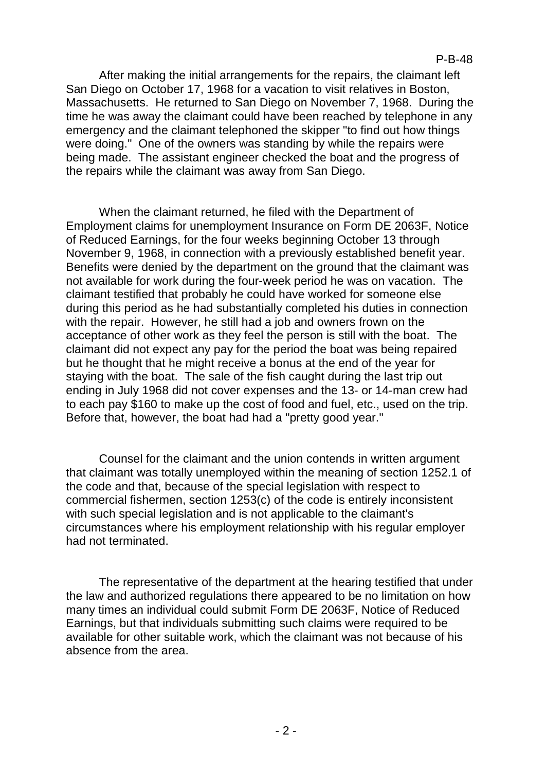After making the initial arrangements for the repairs, the claimant left San Diego on October 17, 1968 for a vacation to visit relatives in Boston, Massachusetts. He returned to San Diego on November 7, 1968. During the time he was away the claimant could have been reached by telephone in any emergency and the claimant telephoned the skipper "to find out how things were doing." One of the owners was standing by while the repairs were being made. The assistant engineer checked the boat and the progress of the repairs while the claimant was away from San Diego.

When the claimant returned, he filed with the Department of Employment claims for unemployment Insurance on Form DE 2063F, Notice of Reduced Earnings, for the four weeks beginning October 13 through November 9, 1968, in connection with a previously established benefit year. Benefits were denied by the department on the ground that the claimant was not available for work during the four-week period he was on vacation. The claimant testified that probably he could have worked for someone else during this period as he had substantially completed his duties in connection with the repair. However, he still had a job and owners frown on the acceptance of other work as they feel the person is still with the boat. The claimant did not expect any pay for the period the boat was being repaired but he thought that he might receive a bonus at the end of the year for staying with the boat. The sale of the fish caught during the last trip out ending in July 1968 did not cover expenses and the 13- or 14-man crew had to each pay \$160 to make up the cost of food and fuel, etc., used on the trip. Before that, however, the boat had had a "pretty good year."

Counsel for the claimant and the union contends in written argument that claimant was totally unemployed within the meaning of section 1252.1 of the code and that, because of the special legislation with respect to commercial fishermen, section 1253(c) of the code is entirely inconsistent with such special legislation and is not applicable to the claimant's circumstances where his employment relationship with his regular employer had not terminated.

The representative of the department at the hearing testified that under the law and authorized regulations there appeared to be no limitation on how many times an individual could submit Form DE 2063F, Notice of Reduced Earnings, but that individuals submitting such claims were required to be available for other suitable work, which the claimant was not because of his absence from the area.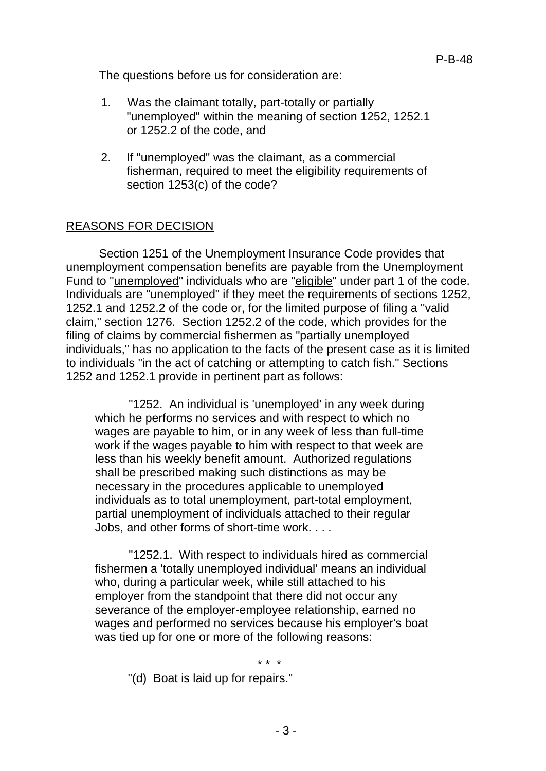The questions before us for consideration are:

- 1. Was the claimant totally, part-totally or partially "unemployed" within the meaning of section 1252, 1252.1 or 1252.2 of the code, and
- 2. If "unemployed" was the claimant, as a commercial fisherman, required to meet the eligibility requirements of section 1253(c) of the code?

# REASONS FOR DECISION

Section 1251 of the Unemployment Insurance Code provides that unemployment compensation benefits are payable from the Unemployment Fund to "unemployed" individuals who are "eligible" under part 1 of the code. Individuals are "unemployed" if they meet the requirements of sections 1252, 1252.1 and 1252.2 of the code or, for the limited purpose of filing a "valid claim," section 1276. Section 1252.2 of the code, which provides for the filing of claims by commercial fishermen as "partially unemployed individuals," has no application to the facts of the present case as it is limited to individuals "in the act of catching or attempting to catch fish." Sections 1252 and 1252.1 provide in pertinent part as follows:

"1252. An individual is 'unemployed' in any week during which he performs no services and with respect to which no wages are payable to him, or in any week of less than full-time work if the wages payable to him with respect to that week are less than his weekly benefit amount. Authorized regulations shall be prescribed making such distinctions as may be necessary in the procedures applicable to unemployed individuals as to total unemployment, part-total employment, partial unemployment of individuals attached to their regular Jobs, and other forms of short-time work. . . .

"1252.1. With respect to individuals hired as commercial fishermen a 'totally unemployed individual' means an individual who, during a particular week, while still attached to his employer from the standpoint that there did not occur any severance of the employer-employee relationship, earned no wages and performed no services because his employer's boat was tied up for one or more of the following reasons:

\* \* \*

"(d) Boat is laid up for repairs."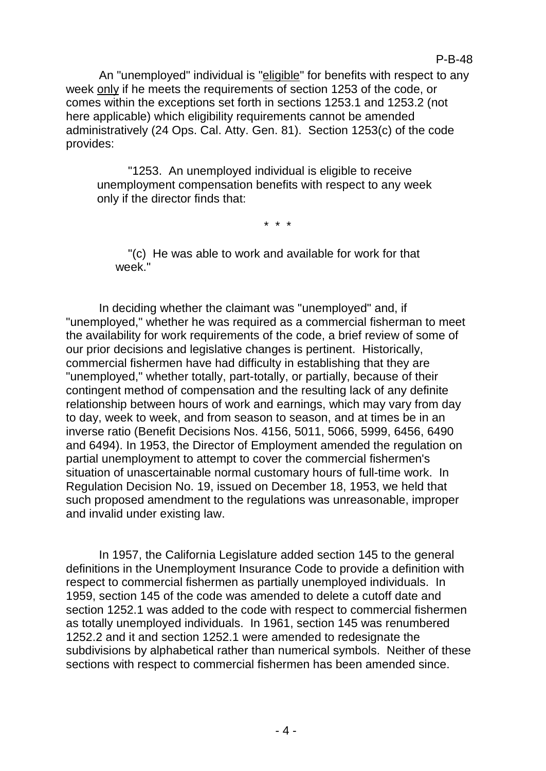An "unemployed" individual is "eligible" for benefits with respect to any week only if he meets the requirements of section 1253 of the code, or comes within the exceptions set forth in sections 1253.1 and 1253.2 (not here applicable) which eligibility requirements cannot be amended administratively (24 Ops. Cal. Atty. Gen. 81). Section 1253(c) of the code provides:

"1253. An unemployed individual is eligible to receive unemployment compensation benefits with respect to any week only if the director finds that:

\* \* \*

"(c) He was able to work and available for work for that week."

In deciding whether the claimant was "unemployed" and, if "unemployed," whether he was required as a commercial fisherman to meet the availability for work requirements of the code, a brief review of some of our prior decisions and legislative changes is pertinent. Historically, commercial fishermen have had difficulty in establishing that they are "unemployed," whether totally, part-totally, or partially, because of their contingent method of compensation and the resulting lack of any definite relationship between hours of work and earnings, which may vary from day to day, week to week, and from season to season, and at times be in an inverse ratio (Benefit Decisions Nos. 4156, 5011, 5066, 5999, 6456, 6490 and 6494). In 1953, the Director of Employment amended the regulation on partial unemployment to attempt to cover the commercial fishermen's situation of unascertainable normal customary hours of full-time work. In Regulation Decision No. 19, issued on December 18, 1953, we held that such proposed amendment to the regulations was unreasonable, improper and invalid under existing law.

In 1957, the California Legislature added section 145 to the general definitions in the Unemployment Insurance Code to provide a definition with respect to commercial fishermen as partially unemployed individuals. In 1959, section 145 of the code was amended to delete a cutoff date and section 1252.1 was added to the code with respect to commercial fishermen as totally unemployed individuals. In 1961, section 145 was renumbered 1252.2 and it and section 1252.1 were amended to redesignate the subdivisions by alphabetical rather than numerical symbols. Neither of these sections with respect to commercial fishermen has been amended since.

## P-B-48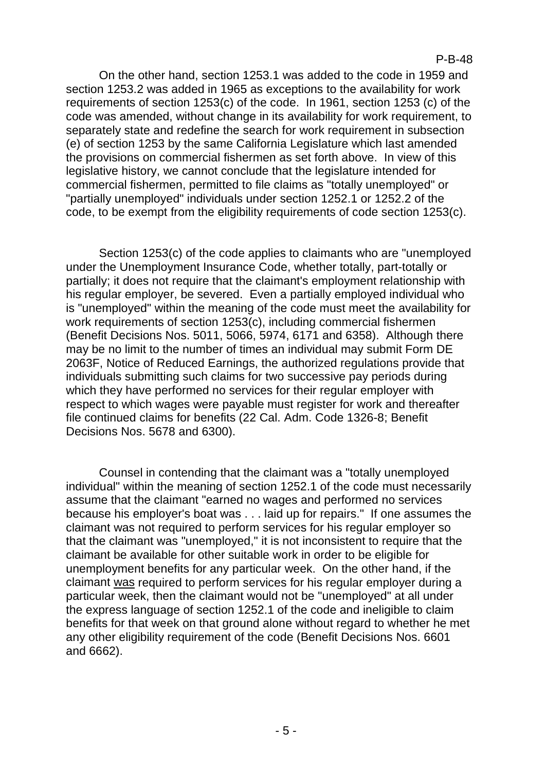On the other hand, section 1253.1 was added to the code in 1959 and section 1253.2 was added in 1965 as exceptions to the availability for work requirements of section 1253(c) of the code. In 1961, section 1253 (c) of the code was amended, without change in its availability for work requirement, to separately state and redefine the search for work requirement in subsection (e) of section 1253 by the same California Legislature which last amended the provisions on commercial fishermen as set forth above. In view of this legislative history, we cannot conclude that the legislature intended for commercial fishermen, permitted to file claims as "totally unemployed" or "partially unemployed" individuals under section 1252.1 or 1252.2 of the code, to be exempt from the eligibility requirements of code section 1253(c).

Section 1253(c) of the code applies to claimants who are "unemployed under the Unemployment Insurance Code, whether totally, part-totally or partially; it does not require that the claimant's employment relationship with his regular employer, be severed. Even a partially employed individual who is "unemployed" within the meaning of the code must meet the availability for work requirements of section 1253(c), including commercial fishermen (Benefit Decisions Nos. 5011, 5066, 5974, 6171 and 6358). Although there may be no limit to the number of times an individual may submit Form DE 2063F, Notice of Reduced Earnings, the authorized regulations provide that individuals submitting such claims for two successive pay periods during which they have performed no services for their regular employer with respect to which wages were payable must register for work and thereafter file continued claims for benefits (22 Cal. Adm. Code 1326-8; Benefit Decisions Nos. 5678 and 6300).

Counsel in contending that the claimant was a "totally unemployed individual" within the meaning of section 1252.1 of the code must necessarily assume that the claimant "earned no wages and performed no services because his employer's boat was . . . laid up for repairs." If one assumes the claimant was not required to perform services for his regular employer so that the claimant was "unemployed," it is not inconsistent to require that the claimant be available for other suitable work in order to be eligible for unemployment benefits for any particular week. On the other hand, if the claimant was required to perform services for his regular employer during a particular week, then the claimant would not be "unemployed" at all under the express language of section 1252.1 of the code and ineligible to claim benefits for that week on that ground alone without regard to whether he met any other eligibility requirement of the code (Benefit Decisions Nos. 6601 and 6662).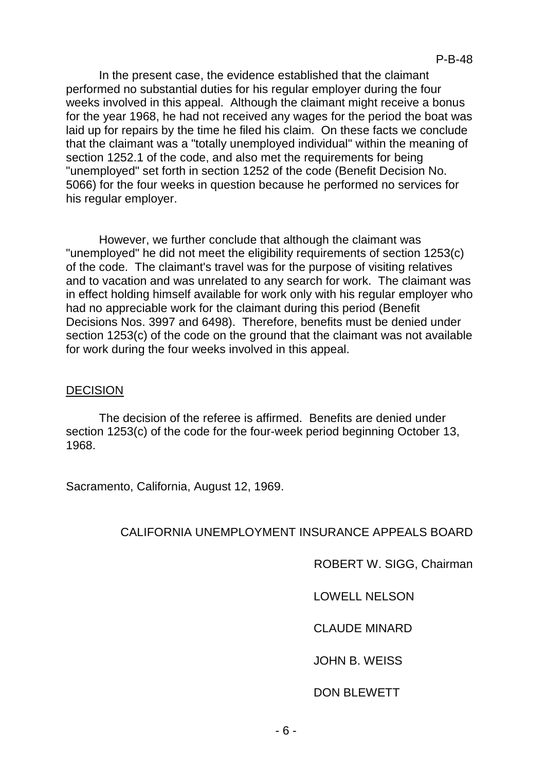In the present case, the evidence established that the claimant performed no substantial duties for his regular employer during the four weeks involved in this appeal. Although the claimant might receive a bonus for the year 1968, he had not received any wages for the period the boat was laid up for repairs by the time he filed his claim. On these facts we conclude that the claimant was a "totally unemployed individual" within the meaning of section 1252.1 of the code, and also met the requirements for being "unemployed" set forth in section 1252 of the code (Benefit Decision No. 5066) for the four weeks in question because he performed no services for his regular employer.

However, we further conclude that although the claimant was "unemployed" he did not meet the eligibility requirements of section 1253(c) of the code. The claimant's travel was for the purpose of visiting relatives and to vacation and was unrelated to any search for work. The claimant was in effect holding himself available for work only with his regular employer who had no appreciable work for the claimant during this period (Benefit Decisions Nos. 3997 and 6498). Therefore, benefits must be denied under section 1253(c) of the code on the ground that the claimant was not available for work during the four weeks involved in this appeal.

## DECISION

The decision of the referee is affirmed. Benefits are denied under section 1253(c) of the code for the four-week period beginning October 13, 1968.

Sacramento, California, August 12, 1969.

CALIFORNIA UNEMPLOYMENT INSURANCE APPEALS BOARD

ROBERT W. SIGG, Chairman

LOWELL NELSON

CLAUDE MINARD

JOHN B. WEISS

DON BLEWETT